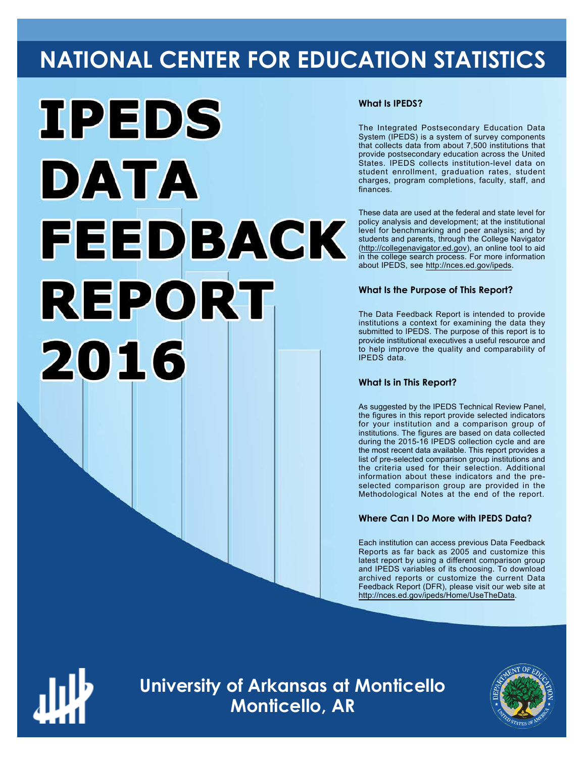# **NATIONAL CENTER FOR EDUCATION STATISTICS**



# **What Is IPEDS?**

The Integrated Postsecondary Education Data System (IPEDS) is a system of survey components that collects data from about 7,500 institutions that provide postsecondary education across the United States. IPEDS collects institution-level data on student enrollment, graduation rates, student charges, program completions, faculty, staff, and finances.

These data are used at the federal and state level for policy analysis and development; at the institutional level for benchmarking and peer analysis; and by students and parents, through the College Navigator ([http://collegenavigator.ed.gov\)](http://collegenavigator.ed.gov), an online tool to aid in the college search process. For more information about IPEDS, see [http://nces.ed.gov/ipeds.](http://nces.ed.gov/ipeds)

# **What Is the Purpose of This Report?**

The Data Feedback Report is intended to provide institutions a context for examining the data they submitted to IPEDS. The purpose of this report is to provide institutional executives a useful resource and to help improve the quality and comparability of IPEDS data.

# **What Is in This Report?**

As suggested by the IPEDS Technical Review Panel, the figures in this report provide selected indicators for your institution and a comparison group of institutions. The figures are based on data collected during the 2015-16 IPEDS collection cycle and are the most recent data available. This report provides a list of pre-selected comparison group institutions and the criteria used for their selection. Additional information about these indicators and the preselected comparison group are provided in the Methodological Notes at the end of the report.

# **Where Can I Do More with IPEDS Data?**

Each institution can access previous Data Feedback Reports as far back as 2005 and customize this latest report by using a different comparison group and IPEDS variables of its choosing. To download archived reports or customize the current Data Feedback Report (DFR), please visit our web site at [http://nces.ed.gov/ipeds/Home/UseTheData.](http://nces.ed.gov/ipeds/Home/UseTheData)



**University of Arkansas at Monticello Monticello, AR**

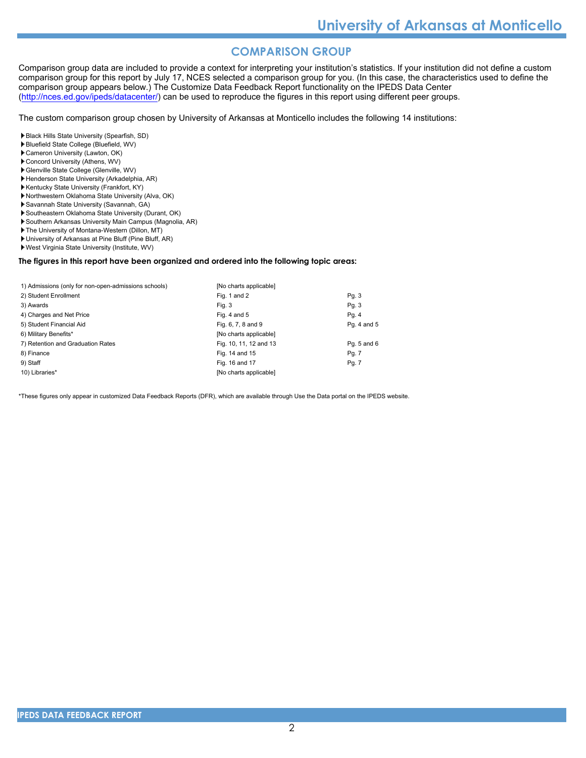# **COMPARISON GROUP**

Comparison group data are included to provide a context for interpreting your institution's statistics. If your institution did not define a custom comparison group for this report by July 17, NCES selected a comparison group for you. (In this case, the characteristics used to define the comparison group appears below.) The Customize Data Feedback Report functionality on the IPEDS Data Center [\(http://nces.ed.gov/ipeds/datacenter/\)](http://nces.ed.gov/ipeds/datacenter/) can be used to reproduce the figures in this report using different peer groups.

The custom comparison group chosen by University of Arkansas at Monticello includes the following 14 institutions:

Black Hills State University (Spearfish, SD)

- Bluefield State College (Bluefield, WV)
- Cameron University (Lawton, OK)
- Concord University (Athens, WV)
- Glenville State College (Glenville, WV)
- Henderson State University (Arkadelphia, AR) Kentucky State University (Frankfort, KY)
- Northwestern Oklahoma State University (Alva, OK)
- Savannah State University (Savannah, GA)
- Southeastern Oklahoma State University (Durant, OK)
- Southern Arkansas University Main Campus (Magnolia, AR)
- The University of Montana-Western (Dillon, MT)
- University of Arkansas at Pine Bluff (Pine Bluff, AR)
- West Virginia State University (Institute, WV)

#### **The figures in this report have been organized and ordered into the following topic areas:**

| 1) Admissions (only for non-open-admissions schools) | [No charts applicable] |             |
|------------------------------------------------------|------------------------|-------------|
| 2) Student Enrollment                                | Fig. 1 and 2           | Pg.3        |
| 3) Awards                                            | Fig. 3                 | Pg. 3       |
| 4) Charges and Net Price                             | Fig. 4 and $5$         | Pg. 4       |
| 5) Student Financial Aid                             | Fig. 6, 7, 8 and 9     | Pg. 4 and 5 |
| 6) Military Benefits*                                | [No charts applicable] |             |
| 7) Retention and Graduation Rates                    | Fig. 10, 11, 12 and 13 | Pg. 5 and 6 |
| 8) Finance                                           | Fig. 14 and 15         | Pg. 7       |
| 9) Staff                                             | Fig. 16 and 17         | Pg. 7       |
| 10) Libraries*                                       | [No charts applicable] |             |

\*These figures only appear in customized Data Feedback Reports (DFR), which are available through Use the Data portal on the IPEDS website.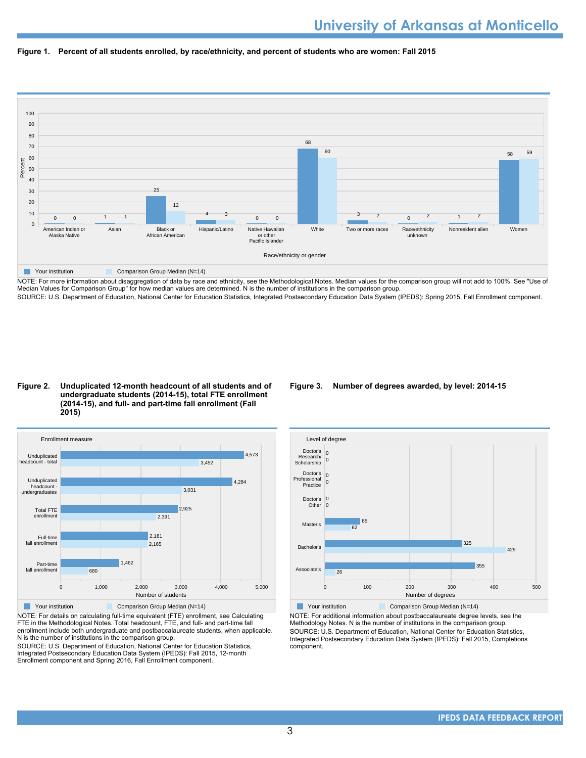



NOTE: For more information about disaggregation of data by race and ethnicity, see the Methodological Notes. Median values for the comparison group will not add to 100%. See "Use of Median Values for Comparison Group" for how median values are determined. N is the number of institutions in the comparison group. SOURCE: U.S. Department of Education, National Center for Education Statistics, Integrated Postsecondary Education Data System (IPEDS): Spring 2015, Fall Enrollment component.

#### **Figure 2. Unduplicated 12-month headcount of all students and of undergraduate students (2014-15), total FTE enrollment (2014-15), and full- and part-time fall enrollment (Fall 2015)**



NOTE: For details on calculating full-time equivalent (FTE) enrollment, see Calculating FTE in the Methodological Notes. Total headcount, FTE, and full- and part-time fall enrollment include both undergraduate and postbaccalaureate students, when applicable. N is the number of institutions in the comparison group.

SOURCE: U.S. Department of Education, National Center for Education Statistics, Integrated Postsecondary Education Data System (IPEDS): Fall 2015, 12-month Enrollment component and Spring 2016, Fall Enrollment component.

# **Figure 3. Number of degrees awarded, by level: 2014-15**



NOTE: For additional information about postbaccalaureate degree levels, see the Methodology Notes. N is the number of institutions in the comparison group. SOURCE: U.S. Department of Education, National Center for Education Statistics, Integrated Postsecondary Education Data System (IPEDS): Fall 2015, Completions component.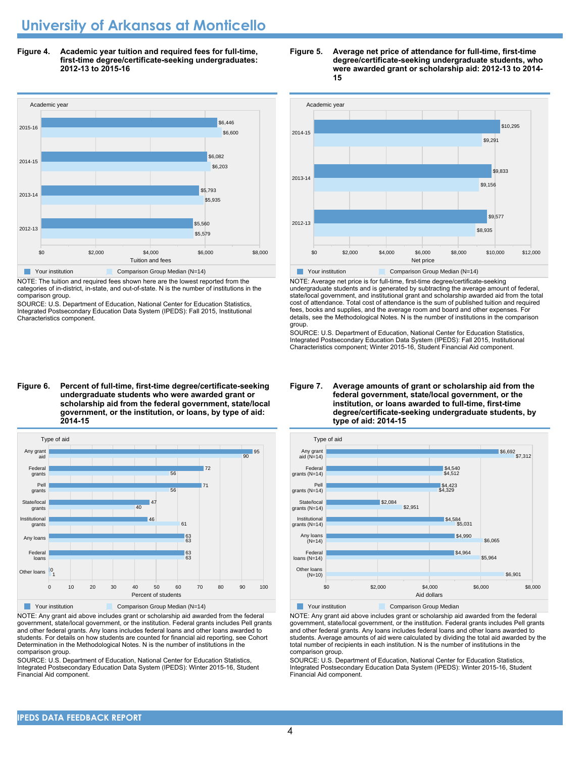# **University of Arkansas at Monticello**

**Figure 4. Academic year tuition and required fees for full-time, first-time degree/certificate-seeking undergraduates: 2012-13 to 2015-16**



NOTE: The tuition and required fees shown here are the lowest reported from the categories of in-district, in-state, and out-of-state. N is the number of institutions in the comparison group.

SOURCE: U.S. Department of Education, National Center for Education Statistics, Integrated Postsecondary Education Data System (IPEDS): Fall 2015, Institutional Characteristics component.

#### **Figure 6. Percent of full-time, first-time degree/certificate-seeking undergraduate students who were awarded grant or scholarship aid from the federal government, state/local government, or the institution, or loans, by type of aid: 2014-15**



NOTE: Any grant aid above includes grant or scholarship aid awarded from the federal government, state/local government, or the institution. Federal grants includes Pell grants and other federal grants. Any loans includes federal loans and other loans awarded to students. For details on how students are counted for financial aid reporting, see Cohort Determination in the Methodological Notes. N is the number of institutions in the comparison group.

SOURCE: U.S. Department of Education, National Center for Education Statistics, Integrated Postsecondary Education Data System (IPEDS): Winter 2015-16, Student Financial Aid component.





NOTE: Average net price is for full-time, first-time degree/certificate-seeking undergraduate students and is generated by subtracting the average amount of federal, state/local government, and institutional grant and scholarship awarded aid from the total cost of attendance. Total cost of attendance is the sum of published tuition and required fees, books and supplies, and the average room and board and other expenses. For details, see the Methodological Notes. N is the number of institutions in the comparison group.

SOURCE: U.S. Department of Education, National Center for Education Statistics, Integrated Postsecondary Education Data System (IPEDS): Fall 2015, Institutional Characteristics component; Winter 2015-16, Student Financial Aid component.

**Figure 7. Average amounts of grant or scholarship aid from the federal government, state/local government, or the institution, or loans awarded to full-time, first-time degree/certificate-seeking undergraduate students, by**



# Your institution **Comparison Group Median**

NOTE: Any grant aid above includes grant or scholarship aid awarded from the federal government, state/local government, or the institution. Federal grants includes Pell grants and other federal grants. Any loans includes federal loans and other loans awarded to students. Average amounts of aid were calculated by dividing the total aid awarded by the total number of recipients in each institution. N is the number of institutions in the comparison group.

SOURCE: U.S. Department of Education, National Center for Education Statistics, Integrated Postsecondary Education Data System (IPEDS): Winter 2015-16, Student Financial Aid component.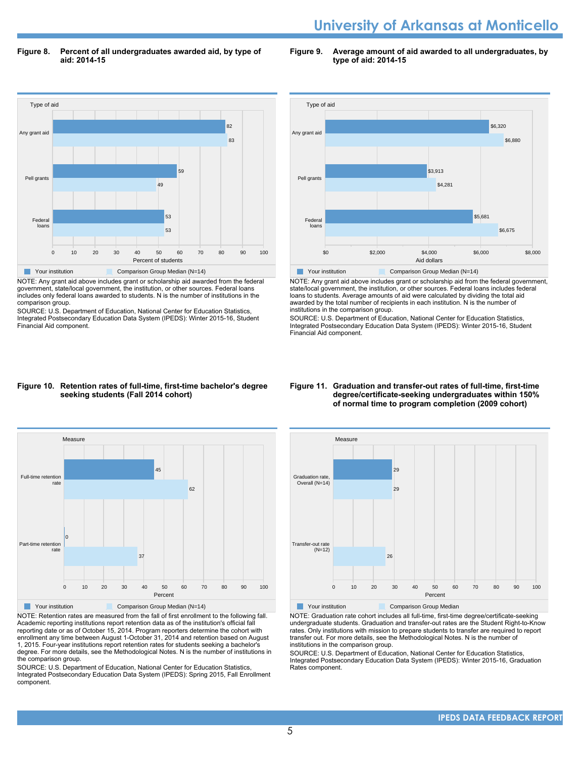# **University of Arkansas at Monticello**

**Figure 8. Percent of all undergraduates awarded aid, by type of aid: 2014-15**

**Figure 9. Average amount of aid awarded to all undergraduates, by type of aid: 2014-15**



NOTE: Any grant aid above includes grant or scholarship aid awarded from the federal government, state/local government, the institution, or other sources. Federal loans includes only federal loans awarded to students. N is the number of institutions in the comparison group.

SOURCE: U.S. Department of Education, National Center for Education Statistics, Integrated Postsecondary Education Data System (IPEDS): Winter 2015-16, Student Financial Aid component.



NOTE: Any grant aid above includes grant or scholarship aid from the federal government, state/local government, the institution, or other sources. Federal loans includes federal loans to students. Average amounts of aid were calculated by dividing the total aid awarded by the total number of recipients in each institution. N is the number of institutions in the comparison group.

SOURCE: U.S. Department of Education, National Center for Education Statistics, Integrated Postsecondary Education Data System (IPEDS): Winter 2015-16, Student Financial Aid component.

#### **Figure 10. Retention rates of full-time, first-time bachelor's degree seeking students (Fall 2014 cohort)**



NOTE: Retention rates are measured from the fall of first enrollment to the following fall. Academic reporting institutions report retention data as of the institution's official fall reporting date or as of October 15, 2014. Program reporters determine the cohort with enrollment any time between August 1-October 31, 2014 and retention based on August 1, 2015. Four-year institutions report retention rates for students seeking a bachelor's degree. For more details, see the Methodological Notes. N is the number of institutions in the comparison group.

SOURCE: U.S. Department of Education, National Center for Education Statistics, Integrated Postsecondary Education Data System (IPEDS): Spring 2015, Fall Enrollment component.

#### **Figure 11. Graduation and transfer-out rates of full-time, first-time degree/certificate-seeking undergraduates within 150% of normal time to program completion (2009 cohort)**



NOTE: Graduation rate cohort includes all full-time, first-time degree/certificate-seeking undergraduate students. Graduation and transfer-out rates are the Student Right-to-Know rates. Only institutions with mission to prepare students to transfer are required to report transfer out. For more details, see the Methodological Notes. N is the number of institutions in the comparison group.

SOURCE: U.S. Department of Education, National Center for Education Statistics, Integrated Postsecondary Education Data System (IPEDS): Winter 2015-16, Graduation Rates component.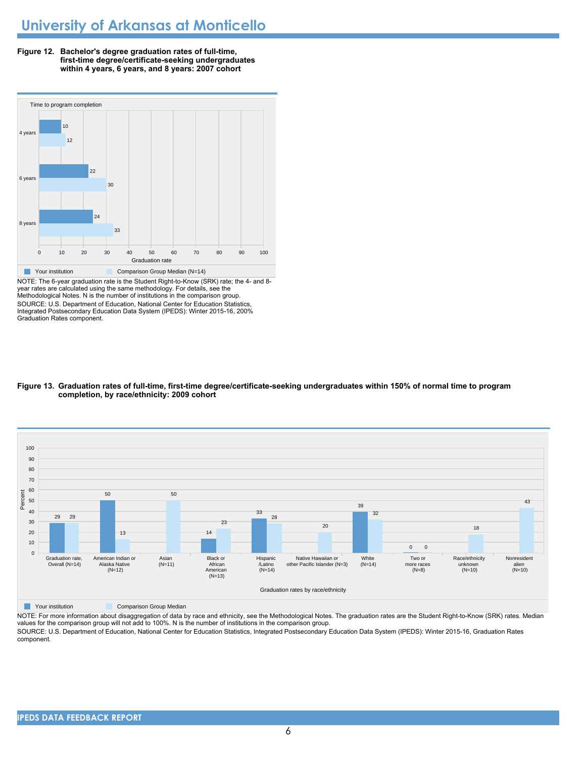



NOTE: The 6-year graduation rate is the Student Right-to-Know (SRK) rate; the 4- and 8 year rates are calculated using the same methodology. For details, see the Methodological Notes. N is the number of institutions in the comparison group. SOURCE: U.S. Department of Education, National Center for Education Statistics, Integrated Postsecondary Education Data System (IPEDS): Winter 2015-16, 200% Graduation Rates component.

#### **Figure 13. Graduation rates of full-time, first-time degree/certificate-seeking undergraduates within 150% of normal time to program completion, by race/ethnicity: 2009 cohort**



**The Comparison Group Median** Comparison Group Median

NOTE: For more information about disaggregation of data by race and ethnicity, see the Methodological Notes. The graduation rates are the Student Right-to-Know (SRK) rates. Median values for the comparison group will not add to 100%. N is the number of institutions in the comparison group.

SOURCE: U.S. Department of Education, National Center for Education Statistics, Integrated Postsecondary Education Data System (IPEDS): Winter 2015-16, Graduation Rates component.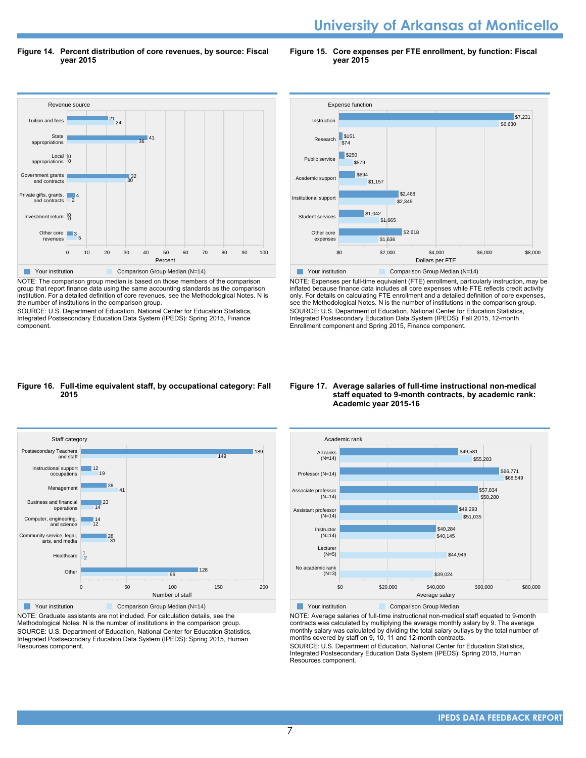# **University of Arkansas at Monticello**

**Figure 14. Percent distribution of core revenues, by source: Fiscal year 2015**

**Figure 15. Core expenses per FTE enrollment, by function: Fiscal year 2015**



NOTE: The comparison group median is based on those members of the comparison group that report finance data using the same accounting standards as the comparison institution. For a detailed definition of core revenues, see the Methodological Notes. N is the number of institutions in the comparison group.

SOURCE: U.S. Department of Education, National Center for Education Statistics, Integrated Postsecondary Education Data System (IPEDS): Spring 2015, Finance component.



NOTE: Expenses per full-time equivalent (FTE) enrollment, particularly instruction, may be inflated because finance data includes all core expenses while FTE reflects credit activity only. For details on calculating FTE enrollment and a detailed definition of core expenses, see the Methodological Notes. N is the number of institutions in the comparison group. SOURCE: U.S. Department of Education, National Center for Education Statistics, Integrated Postsecondary Education Data System (IPEDS): Fall 2015, 12-month Enrollment component and Spring 2015, Finance component.

#### **Figure 16. Full-time equivalent staff, by occupational category: Fall 2015**



NOTE: Graduate assistants are not included. For calculation details, see the Methodological Notes. N is the number of institutions in the comparison group. SOURCE: U.S. Department of Education, National Center for Education Statistics, Integrated Postsecondary Education Data System (IPEDS): Spring 2015, Human Resources component.

#### **Figure 17. Average salaries of full-time instructional non-medical staff equated to 9-month contracts, by academic rank: Academic year 2015-16**



NOTE: Average salaries of full-time instructional non-medical staff equated to 9-month contracts was calculated by multiplying the average monthly salary by 9. The average monthly salary was calculated by dividing the total salary outlays by the total number of months covered by staff on 9, 10, 11 and 12-month contracts.

SOURCE: U.S. Department of Education, National Center for Education Statistics, Integrated Postsecondary Education Data System (IPEDS): Spring 2015, Human Resources component.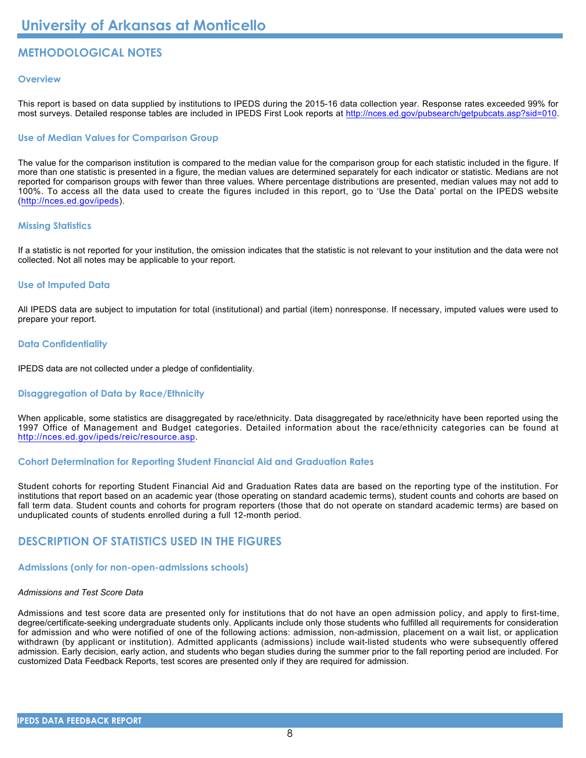# **METHODOLOGICAL NOTES**

# **Overview**

This report is based on data supplied by institutions to IPEDS during the 2015-16 data collection year. Response rates exceeded 99% for most surveys. Detailed response tables are included in IPEDS First Look reports at [http://nces.ed.gov/pubsearch/getpubcats.asp?sid=010.](http://nces.ed.gov/pubsearch/getpubcats.asp?sid=010)

# **Use of Median Values for Comparison Group**

The value for the comparison institution is compared to the median value for the comparison group for each statistic included in the figure. If more than one statistic is presented in a figure, the median values are determined separately for each indicator or statistic. Medians are not reported for comparison groups with fewer than three values. Where percentage distributions are presented, median values may not add to 100%. To access all the data used to create the figures included in this report, go to 'Use the Data' portal on the IPEDS website (<http://nces.ed.gov/ipeds>).

# **Missing Statistics**

If a statistic is not reported for your institution, the omission indicates that the statistic is not relevant to your institution and the data were not collected. Not all notes may be applicable to your report.

# **Use of Imputed Data**

All IPEDS data are subject to imputation for total (institutional) and partial (item) nonresponse. If necessary, imputed values were used to prepare your report.

# **Data Confidentiality**

IPEDS data are not collected under a pledge of confidentiality.

# **Disaggregation of Data by Race/Ethnicity**

When applicable, some statistics are disaggregated by race/ethnicity. Data disaggregated by race/ethnicity have been reported using the 1997 Office of Management and Budget categories. Detailed information about the race/ethnicity categories can be found at <http://nces.ed.gov/ipeds/reic/resource.asp>.

# **Cohort Determination for Reporting Student Financial Aid and Graduation Rates**

Student cohorts for reporting Student Financial Aid and Graduation Rates data are based on the reporting type of the institution. For institutions that report based on an academic year (those operating on standard academic terms), student counts and cohorts are based on fall term data. Student counts and cohorts for program reporters (those that do not operate on standard academic terms) are based on unduplicated counts of students enrolled during a full 12-month period.

# **DESCRIPTION OF STATISTICS USED IN THE FIGURES**

# **Admissions (only for non-open-admissions schools)**

# *Admissions and Test Score Data*

Admissions and test score data are presented only for institutions that do not have an open admission policy, and apply to first-time, degree/certificate-seeking undergraduate students only. Applicants include only those students who fulfilled all requirements for consideration for admission and who were notified of one of the following actions: admission, non-admission, placement on a wait list, or application withdrawn (by applicant or institution). Admitted applicants (admissions) include wait-listed students who were subsequently offered admission. Early decision, early action, and students who began studies during the summer prior to the fall reporting period are included. For customized Data Feedback Reports, test scores are presented only if they are required for admission.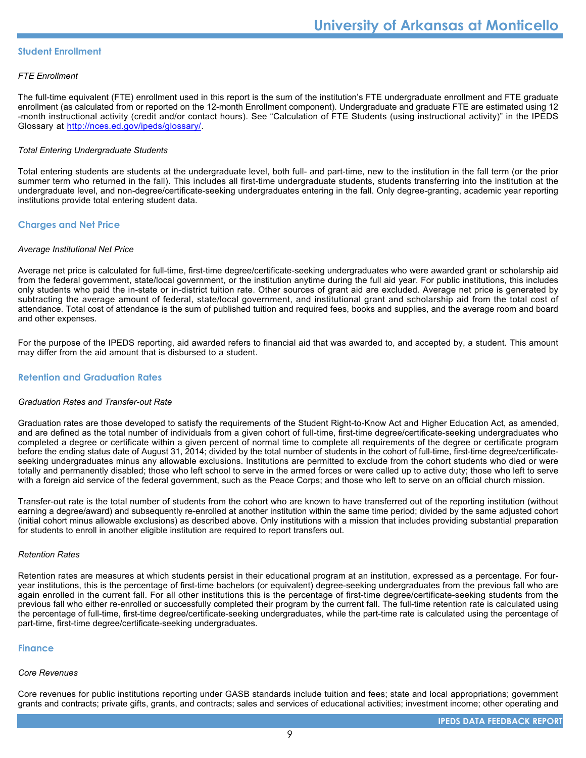#### **Student Enrollment**

#### *FTE Enrollment*

The full-time equivalent (FTE) enrollment used in this report is the sum of the institution's FTE undergraduate enrollment and FTE graduate enrollment (as calculated from or reported on the 12-month Enrollment component). Undergraduate and graduate FTE are estimated using 12 -month instructional activity (credit and/or contact hours). See "Calculation of FTE Students (using instructional activity)" in the IPEDS Glossary at <http://nces.ed.gov/ipeds/glossary/>.

#### *Total Entering Undergraduate Students*

Total entering students are students at the undergraduate level, both full- and part-time, new to the institution in the fall term (or the prior summer term who returned in the fall). This includes all first-time undergraduate students, students transferring into the institution at the undergraduate level, and non-degree/certificate-seeking undergraduates entering in the fall. Only degree-granting, academic year reporting institutions provide total entering student data.

# **Charges and Net Price**

#### *Average Institutional Net Price*

Average net price is calculated for full-time, first-time degree/certificate-seeking undergraduates who were awarded grant or scholarship aid from the federal government, state/local government, or the institution anytime during the full aid year. For public institutions, this includes only students who paid the in-state or in-district tuition rate. Other sources of grant aid are excluded. Average net price is generated by subtracting the average amount of federal, state/local government, and institutional grant and scholarship aid from the total cost of attendance. Total cost of attendance is the sum of published tuition and required fees, books and supplies, and the average room and board and other expenses.

For the purpose of the IPEDS reporting, aid awarded refers to financial aid that was awarded to, and accepted by, a student. This amount may differ from the aid amount that is disbursed to a student.

### **Retention and Graduation Rates**

#### *Graduation Rates and Transfer-out Rate*

Graduation rates are those developed to satisfy the requirements of the Student Right-to-Know Act and Higher Education Act, as amended, and are defined as the total number of individuals from a given cohort of full-time, first-time degree/certificate-seeking undergraduates who completed a degree or certificate within a given percent of normal time to complete all requirements of the degree or certificate program before the ending status date of August 31, 2014; divided by the total number of students in the cohort of full-time, first-time degree/certificateseeking undergraduates minus any allowable exclusions. Institutions are permitted to exclude from the cohort students who died or were totally and permanently disabled; those who left school to serve in the armed forces or were called up to active duty; those who left to serve with a foreign aid service of the federal government, such as the Peace Corps; and those who left to serve on an official church mission.

Transfer-out rate is the total number of students from the cohort who are known to have transferred out of the reporting institution (without earning a degree/award) and subsequently re-enrolled at another institution within the same time period; divided by the same adjusted cohort (initial cohort minus allowable exclusions) as described above. Only institutions with a mission that includes providing substantial preparation for students to enroll in another eligible institution are required to report transfers out.

#### *Retention Rates*

Retention rates are measures at which students persist in their educational program at an institution, expressed as a percentage. For fouryear institutions, this is the percentage of first-time bachelors (or equivalent) degree-seeking undergraduates from the previous fall who are again enrolled in the current fall. For all other institutions this is the percentage of first-time degree/certificate-seeking students from the previous fall who either re-enrolled or successfully completed their program by the current fall. The full-time retention rate is calculated using the percentage of full-time, first-time degree/certificate-seeking undergraduates, while the part-time rate is calculated using the percentage of part-time, first-time degree/certificate-seeking undergraduates.

#### **Finance**

#### *Core Revenues*

Core revenues for public institutions reporting under GASB standards include tuition and fees; state and local appropriations; government grants and contracts; private gifts, grants, and contracts; sales and services of educational activities; investment income; other operating and